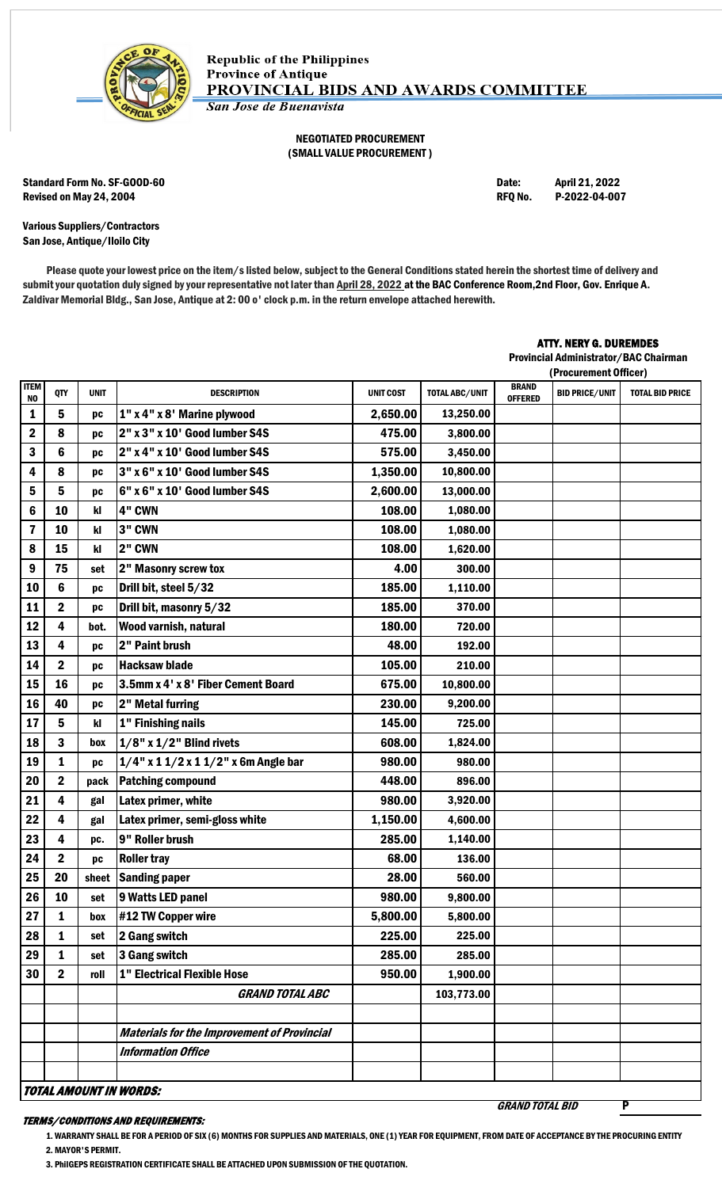

## NEGOTIATED PROCUREMENT (SMALL VALUE PROCUREMENT )

Standard Form No. SF-GOOD-60 Date: April 21, 2022 Revised on May 24, 2004 **REQ No. 2006** RFQ No. 2022-04-007

Various Suppliers/Contractors San Jose, Antique/Iloilo City

Please quote your lowest price on the item/s listed below, subject to the General Conditions stated herein the shortest time of delivery and submit your quotation duly signed by your representative not later than April 28, 2022 at the BAC Conference Room, 2nd Floor, Gov. Enrique A. Zaldivar Memorial Bldg., San Jose, Antique at 2: 00 o' clock p.m. in the return envelope attached herewith.

## ATTY. NERY G. DUREMDES

Provincial Administrator/BAC Chairman (Procurement Officer)

|                   |                  |             |                                                    |                  |                |                                | (Procurement Ufficer) |                        |
|-------------------|------------------|-------------|----------------------------------------------------|------------------|----------------|--------------------------------|-----------------------|------------------------|
| <b>ITEM</b><br>NO | QTY              | <b>UNIT</b> | <b>DESCRIPTION</b>                                 | <b>UNIT COST</b> | TOTAL ABC/UNIT | <b>BRAND</b><br><b>OFFERED</b> | <b>BID PRICE/UNIT</b> | <b>TOTAL BID PRICE</b> |
| 1                 | 5                | DС          | 1" x 4" x 8' Marine plywood                        | 2,650.00         | 13,250.00      |                                |                       |                        |
| 2                 | 8                | pc          | 2" x 3" x 10' Good lumber S4S                      | 475.00           | 3,800.00       |                                |                       |                        |
| 3                 | $6\phantom{1}$   | pc          | 2" x 4" x 10' Good lumber S4S                      | 575.00           | 3,450.00       |                                |                       |                        |
| 4                 | 8                | pc          | 3" x 6" x 10' Good lumber S4S                      | 1,350.00         | 10,800.00      |                                |                       |                        |
| 5                 | $5\phantom{a}$   | pc          | 6" x 6" x 10' Good lumber S4S                      | 2,600.00         | 13,000.00      |                                |                       |                        |
| 6                 | 10               | kl          | 4" CWN                                             | 108.00           | 1,080.00       |                                |                       |                        |
| 7                 | 10               | kl          | 3" CWN                                             | 108.00           | 1,080.00       |                                |                       |                        |
| 8                 | 15               | kl          | 2" CWN                                             | 108.00           | 1,620.00       |                                |                       |                        |
| 9                 | 75               | set         | 2" Masonry screw tox                               | 4.00             | 300.00         |                                |                       |                        |
| 10                | $6\phantom{1}$   | pc          | Drill bit, steel 5/32                              | 185.00           | 1,110.00       |                                |                       |                        |
| 11                | $\boldsymbol{2}$ | pc          | Drill bit, masonry 5/32                            | 185.00           | 370.00         |                                |                       |                        |
| 12                | 4                | bot.        | Wood varnish, natural                              | 180.00           | 720.00         |                                |                       |                        |
| 13                | $\overline{4}$   | pc          | 2" Paint brush                                     | 48.00            | 192.00         |                                |                       |                        |
| 14                | $\mathbf 2$      | pc          | <b>Hacksaw blade</b>                               | 105.00           | 210.00         |                                |                       |                        |
| 15                | 16               | pc          | 3.5mm x 4' x 8' Fiber Cement Board                 | 675.00           | 10,800.00      |                                |                       |                        |
| 16                | 40               | pc          | 2" Metal furring                                   | 230.00           | 9,200.00       |                                |                       |                        |
| 17                | 5                | kl          | 1" Finishing nails                                 | 145.00           | 725.00         |                                |                       |                        |
| 18                | $\mathbf{3}$     | box         | $1/8$ " x $1/2$ " Blind rivets                     | 608.00           | 1,824.00       |                                |                       |                        |
| 19                | 1                | pc          | $1/4$ " x 1 $1/2$ x 1 $1/2$ " x 6m Angle bar       | 980.00           | 980.00         |                                |                       |                        |
| 20                | $\mathbf 2$      | pack        | <b>Patching compound</b>                           | 448.00           | 896.00         |                                |                       |                        |
| 21                | $\overline{4}$   | gal         | Latex primer, white                                | 980.00           | 3,920.00       |                                |                       |                        |
| 22                | $\overline{4}$   | gal         | Latex primer, semi-gloss white                     | 1,150.00         | 4,600.00       |                                |                       |                        |
| 23                | 4                | pc.         | 9" Roller brush                                    | 285.00           | 1,140.00       |                                |                       |                        |
| 24                | $\mathbf 2$      | pc          | <b>Roller tray</b>                                 | 68.00            | 136.00         |                                |                       |                        |
| 25                | 20               | sheet       | <b>Sanding paper</b>                               | 28.00            | 560.00         |                                |                       |                        |
| 26                | 10               | set         | 9 Watts LED panel                                  | 980.00           | 9,800.00       |                                |                       |                        |
| 27                | $\mathbf{1}$     | box         | #12 TW Copper wire                                 | 5,800.00         | 5,800.00       |                                |                       |                        |
| 28                | $\mathbf{1}$     | set         | 2 Gang switch                                      | 225.00           | 225.00         |                                |                       |                        |
| 29                | 1                | set         | 3 Gang switch                                      | 285.00           | 285.00         |                                |                       |                        |
| 30                | $\mathbf 2$      | roll        | <b>1" Electrical Flexible Hose</b>                 | 950.00           | 1,900.00       |                                |                       |                        |
|                   |                  |             | <b>GRAND TOTAL ABC</b>                             |                  | 103,773.00     |                                |                       |                        |
|                   |                  |             |                                                    |                  |                |                                |                       |                        |
|                   |                  |             | <b>Materials for the Improvement of Provincial</b> |                  |                |                                |                       |                        |
|                   |                  |             | <b>Information Office</b>                          |                  |                |                                |                       |                        |
|                   |                  |             |                                                    |                  |                |                                |                       |                        |
|                   |                  |             | TOTAL AMOUNT IN WORDS:                             |                  |                |                                |                       |                        |

## TERMS/CONDITIONS AND REQUIREMENTS:

1. WARRANTY SHALL BE FOR A PERIOD OF SIX (6) MONTHS FOR SUPPLIES AND MATERIALS, ONE (1) YEAR FOR EQUIPMENT, FROM DATE OF ACCEPTANCE BY THE PROCURING ENTITY 2. MAYOR'S PERMIT.

**GRAND TOTAL BID** 

3. PhilGEPS REGISTRATION CERTIFICATE SHALL BE ATTACHED UPON SUBMISSION OF THE QUOTATION.